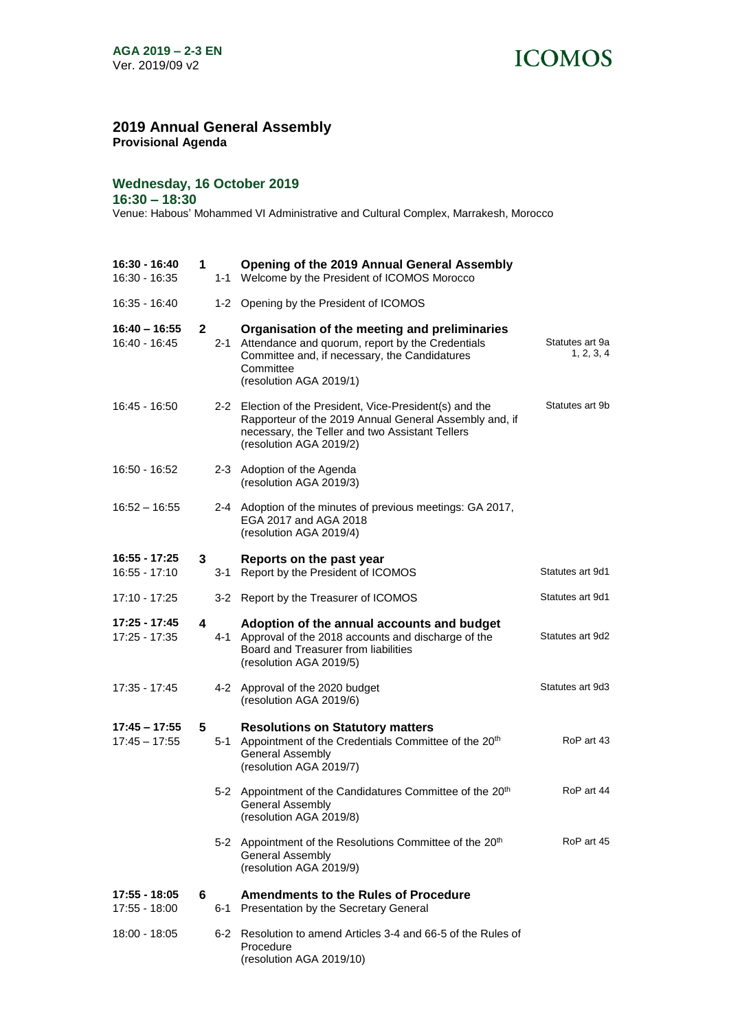## **ICOMOS**

## **2019 Annual General Assembly**

**Provisional Agenda**

## **Wednesday, 16 October 2019**

**16:30 – 18:30**

Venue: Habous' Mohammed VI Administrative and Cultural Complex, Marrakesh, Morocco

| 16:30 - 16:40<br>16:30 - 16:35     | 1            |         | <b>Opening of the 2019 Annual General Assembly</b><br>1-1 Welcome by the President of ICOMOS Morocco                                                                                             |                               |
|------------------------------------|--------------|---------|--------------------------------------------------------------------------------------------------------------------------------------------------------------------------------------------------|-------------------------------|
| 16:35 - 16:40                      |              |         | 1-2 Opening by the President of ICOMOS                                                                                                                                                           |                               |
| 16:40 – 16:55<br>16:40 - 16:45     | $\mathbf{2}$ | $2 - 1$ | Organisation of the meeting and preliminaries<br>Attendance and quorum, report by the Credentials<br>Committee and, if necessary, the Candidatures<br>Committee<br>(resolution AGA 2019/1)       | Statutes art 9a<br>1, 2, 3, 4 |
| 16:45 - 16:50                      |              |         | 2-2 Election of the President, Vice-President(s) and the<br>Rapporteur of the 2019 Annual General Assembly and, if<br>necessary, the Teller and two Assistant Tellers<br>(resolution AGA 2019/2) | Statutes art 9b               |
| 16:50 - 16:52                      |              |         | 2-3 Adoption of the Agenda<br>(resolution AGA 2019/3)                                                                                                                                            |                               |
| 16:52 – 16:55                      |              |         | 2-4 Adoption of the minutes of previous meetings: GA 2017,<br>EGA 2017 and AGA 2018<br>(resolution AGA 2019/4)                                                                                   |                               |
| 16:55 - 17:25<br>$16:55 - 17:10$   | 3            |         | Reports on the past year                                                                                                                                                                         | Statutes art 9d1              |
|                                    |              | 3-1     | Report by the President of ICOMOS                                                                                                                                                                |                               |
| 17:10 - 17:25                      |              |         | 3-2 Report by the Treasurer of ICOMOS                                                                                                                                                            | Statutes art 9d1              |
| 17:25 - 17:45<br>17:25 - 17:35     | 4            | $4 - 1$ | Adoption of the annual accounts and budget<br>Approval of the 2018 accounts and discharge of the<br>Board and Treasurer from liabilities<br>(resolution AGA 2019/5)                              | Statutes art 9d2              |
| 17:35 - 17:45                      |              |         | 4-2 Approval of the 2020 budget<br>(resolution AGA 2019/6)                                                                                                                                       | Statutes art 9d3              |
| $17:45 - 17:55$<br>$17:45 - 17:55$ | 5            | $5-1$   | <b>Resolutions on Statutory matters</b><br>Appointment of the Credentials Committee of the 20 <sup>th</sup><br><b>General Assembly</b><br>(resolution AGA 2019/7)                                | RoP art 43                    |
|                                    |              |         | 5-2 Appointment of the Candidatures Committee of the 20 <sup>th</sup><br>General Assembly<br>(resolution AGA 2019/8)                                                                             | RoP art 44                    |
|                                    |              |         | 5-2 Appointment of the Resolutions Committee of the 20th<br><b>General Assembly</b><br>(resolution AGA 2019/9)                                                                                   | RoP art 45                    |
| 17:55 - 18:05<br>17:55 - 18:00     | 6            | 6-1     | <b>Amendments to the Rules of Procedure</b><br>Presentation by the Secretary General                                                                                                             |                               |
| 18:00 - 18:05                      |              |         | 6-2 Resolution to amend Articles 3-4 and 66-5 of the Rules of<br>Procedure<br>(resolution AGA 2019/10)                                                                                           |                               |